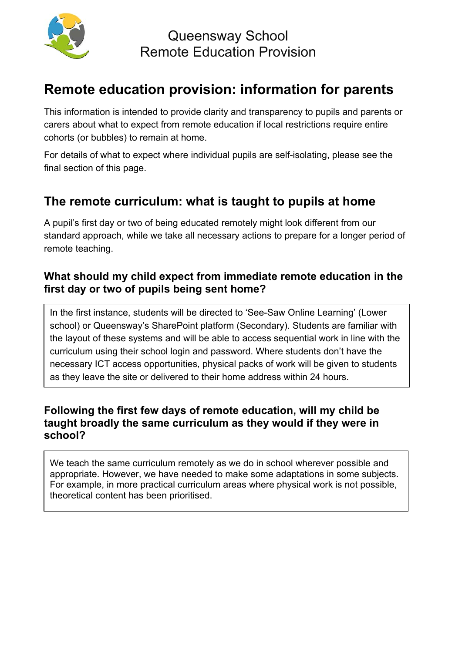

Queensway School Remote Education Provision

# **Remote education provision: information for parents**

This information is intended to provide clarity and transparency to pupils and parents or carers about what to expect from remote education if local restrictions require entire cohorts (or bubbles) to remain at home.

For details of what to expect where individual pupils are self-isolating, please see the final section of this page.

### **The remote curriculum: what is taught to pupils at home**

A pupil's first day or two of being educated remotely might look different from our standard approach, while we take all necessary actions to prepare for a longer period of remote teaching.

#### **What should my child expect from immediate remote education in the first day or two of pupils being sent home?**

In the first instance, students will be directed to 'See-Saw Online Learning' (Lower school) or Queensway's SharePoint platform (Secondary). Students are familiar with the layout of these systems and will be able to access sequential work in line with the curriculum using their school login and password. Where students don't have the necessary ICT access opportunities, physical packs of work will be given to students as they leave the site or delivered to their home address within 24 hours.

#### **Following the first few days of remote education, will my child be taught broadly the same curriculum as they would if they were in school?**

We teach the same curriculum remotely as we do in school wherever possible and appropriate. However, we have needed to make some adaptations in some subjects. For example, in more practical curriculum areas where physical work is not possible, theoretical content has been prioritised.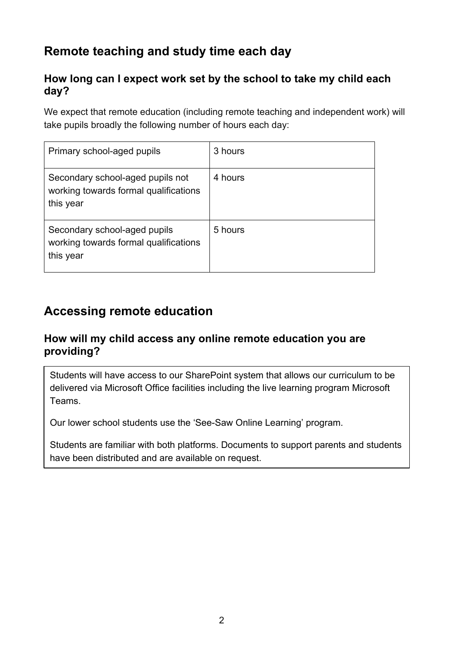# **Remote teaching and study time each day**

#### **How long can I expect work set by the school to take my child each day?**

We expect that remote education (including remote teaching and independent work) will take pupils broadly the following number of hours each day:

| Primary school-aged pupils                                                             | 3 hours |
|----------------------------------------------------------------------------------------|---------|
| Secondary school-aged pupils not<br>working towards formal qualifications<br>this year | 4 hours |
| Secondary school-aged pupils<br>working towards formal qualifications<br>this year     | 5 hours |

## **Accessing remote education**

#### **How will my child access any online remote education you are providing?**

Students will have access to our SharePoint system that allows our curriculum to be delivered via Microsoft Office facilities including the live learning program Microsoft Teams.

Our lower school students use the 'See-Saw Online Learning' program.

Students are familiar with both platforms. Documents to support parents and students have been distributed and are available on request.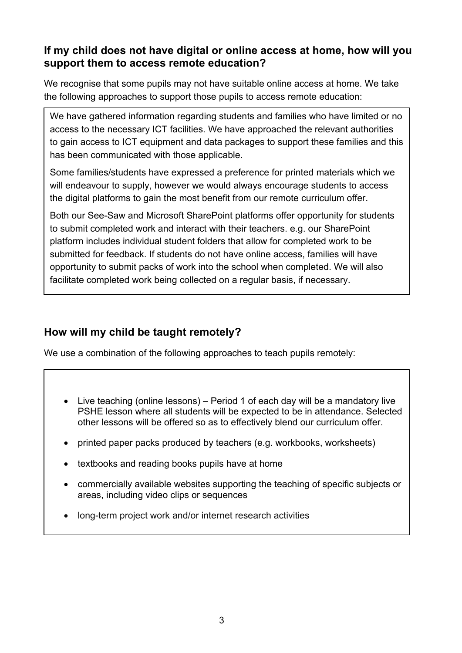#### **If my child does not have digital or online access at home, how will you support them to access remote education?**

We recognise that some pupils may not have suitable online access at home. We take the following approaches to support those pupils to access remote education:

We have gathered information regarding students and families who have limited or no access to the necessary ICT facilities. We have approached the relevant authorities to gain access to ICT equipment and data packages to support these families and this has been communicated with those applicable.

Some families/students have expressed a preference for printed materials which we will endeavour to supply, however we would always encourage students to access the digital platforms to gain the most benefit from our remote curriculum offer.

Both our See-Saw and Microsoft SharePoint platforms offer opportunity for students to submit completed work and interact with their teachers. e.g. our SharePoint platform includes individual student folders that allow for completed work to be submitted for feedback. If students do not have online access, families will have opportunity to submit packs of work into the school when completed. We will also facilitate completed work being collected on a regular basis, if necessary.

### **How will my child be taught remotely?**

We use a combination of the following approaches to teach pupils remotely:

- Live teaching (online lessons) Period 1 of each day will be a mandatory live PSHE lesson where all students will be expected to be in attendance. Selected other lessons will be offered so as to effectively blend our curriculum offer.
- printed paper packs produced by teachers (e.g. workbooks, worksheets)
- textbooks and reading books pupils have at home
- commercially available websites supporting the teaching of specific subjects or areas, including video clips or sequences
- long-term project work and/or internet research activities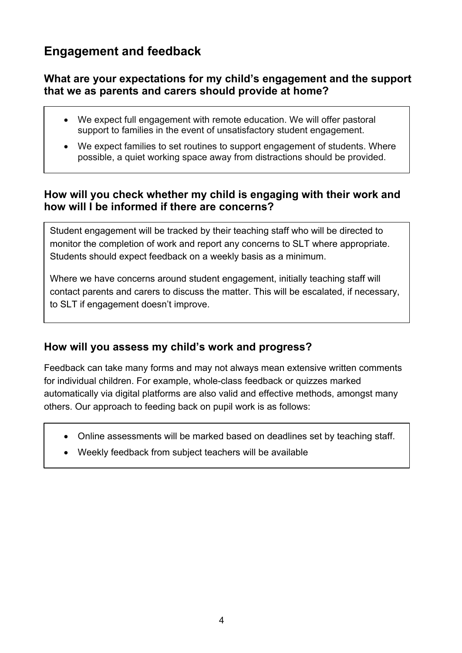## **Engagement and feedback**

#### **What are your expectations for my child's engagement and the support that we as parents and carers should provide at home?**

- We expect full engagement with remote education. We will offer pastoral support to families in the event of unsatisfactory student engagement.
- We expect families to set routines to support engagement of students. Where possible, a quiet working space away from distractions should be provided.

#### **How will you check whether my child is engaging with their work and how will I be informed if there are concerns?**

Student engagement will be tracked by their teaching staff who will be directed to monitor the completion of work and report any concerns to SLT where appropriate. Students should expect feedback on a weekly basis as a minimum.

Where we have concerns around student engagement, initially teaching staff will contact parents and carers to discuss the matter. This will be escalated, if necessary, to SLT if engagement doesn't improve.

### **How will you assess my child's work and progress?**

Feedback can take many forms and may not always mean extensive written comments for individual children. For example, whole-class feedback or quizzes marked automatically via digital platforms are also valid and effective methods, amongst many others. Our approach to feeding back on pupil work is as follows:

- Online assessments will be marked based on deadlines set by teaching staff.
- Weekly feedback from subject teachers will be available